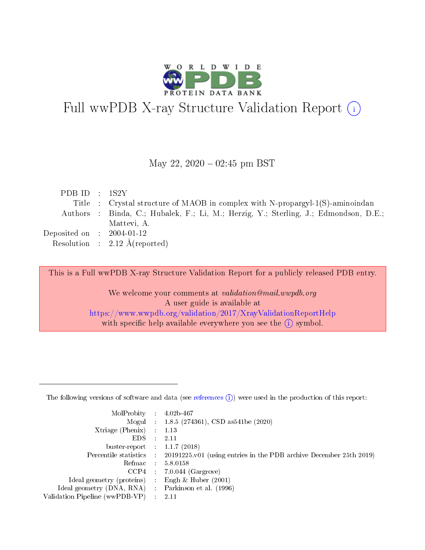

# Full wwPDB X-ray Structure Validation Report (i)

#### May 22,  $2020 - 02:45$  pm BST

| Title : Crystal structure of MAOB in complex with N-propargyl-1(S)-aminoindan        |  |
|--------------------------------------------------------------------------------------|--|
| Authors : Binda, C.; Hubalek, F.; Li, M.; Herzig, Y.; Sterling, J.; Edmondson, D.E.; |  |
| Mattevi, A.                                                                          |  |
| Deposited on $\therefore$ 2004-01-12                                                 |  |
| Resolution : $2.12 \text{ Å}$ (reported)                                             |  |

This is a Full wwPDB X-ray Structure Validation Report for a publicly released PDB entry.

We welcome your comments at validation@mail.wwpdb.org A user guide is available at <https://www.wwpdb.org/validation/2017/XrayValidationReportHelp> with specific help available everywhere you see the  $(i)$  symbol.

The following versions of software and data (see [references](https://www.wwpdb.org/validation/2017/XrayValidationReportHelp#references)  $(1)$ ) were used in the production of this report:

| MolProbity : 4.02b-467         |   |                                                                                                    |
|--------------------------------|---|----------------------------------------------------------------------------------------------------|
|                                |   | Mogul : 1.8.5 (274361), CSD as 541be (2020)                                                        |
| $X$ triage (Phenix) :          |   | 1.13                                                                                               |
| EDS.                           |   | 2.11                                                                                               |
| buster-report : $1.1.7$ (2018) |   |                                                                                                    |
|                                |   | Percentile statistics : $20191225 \times 01$ (using entries in the PDB archive December 25th 2019) |
| Refmac :                       |   | 5.8.0158                                                                                           |
| CCP4                           |   | $7.0.044$ (Gargrove)                                                                               |
| Ideal geometry (proteins) :    |   | Engh $\&$ Huber (2001)                                                                             |
| Ideal geometry (DNA, RNA) :    |   | Parkinson et al. (1996)                                                                            |
| Validation Pipeline (wwPDB-VP) | ÷ | -2.11                                                                                              |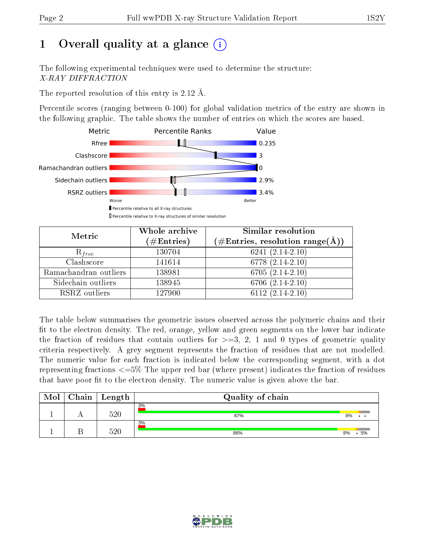# 1 [O](https://www.wwpdb.org/validation/2017/XrayValidationReportHelp#overall_quality)verall quality at a glance  $(i)$

The following experimental techniques were used to determine the structure: X-RAY DIFFRACTION

The reported resolution of this entry is 2.12 Å.

Percentile scores (ranging between 0-100) for global validation metrics of the entry are shown in the following graphic. The table shows the number of entries on which the scores are based.



| Metric                | Whole archive<br>$(\#\text{Entries})$ | Similar resolution<br>$(\#\text{Entries}, \text{resolution range}(\textup{\AA}))$ |
|-----------------------|---------------------------------------|-----------------------------------------------------------------------------------|
| $R_{free}$            | 130704                                | $6241(2.14-2.10)$                                                                 |
| Clashscore            | 141614                                | 6778 $(2.14-2.10)$                                                                |
| Ramachandran outliers | 138981                                | $6705(2.14-2.10)$                                                                 |
| Sidechain outliers    | 138945                                | $6706(2.14-2.10)$                                                                 |
| RSRZ outliers         | 127900                                | $\overline{6112}$ (2.14-2.10)                                                     |

The table below summarises the geometric issues observed across the polymeric chains and their fit to the electron density. The red, orange, yellow and green segments on the lower bar indicate the fraction of residues that contain outliers for  $>=3, 2, 1$  and 0 types of geometric quality criteria respectively. A grey segment represents the fraction of residues that are not modelled. The numeric value for each fraction is indicated below the corresponding segment, with a dot representing fractions  $\epsilon=5\%$  The upper red bar (where present) indicates the fraction of residues that have poor fit to the electron density. The numeric value is given above the bar.

| Mol | Chain ' | $^{\shortmid}$ Length | Quality of chain |    |  |     |  |  |  |
|-----|---------|-----------------------|------------------|----|--|-----|--|--|--|
|     |         | 520                   | 3%<br>87%        | 8% |  | . . |  |  |  |
|     |         | 520                   | 3%<br>86%        | 8% |  | 5%  |  |  |  |

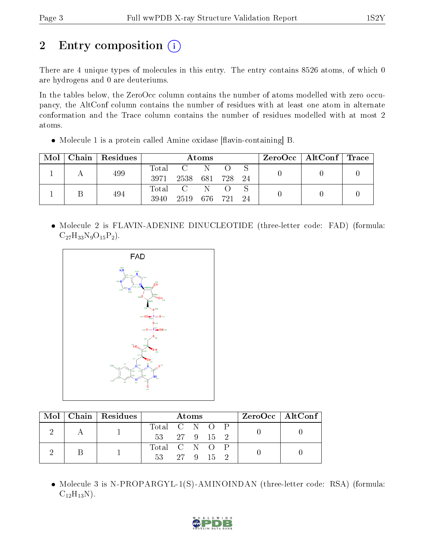# 2 Entry composition (i)

There are 4 unique types of molecules in this entry. The entry contains 8526 atoms, of which 0 are hydrogens and 0 are deuteriums.

In the tables below, the ZeroOcc column contains the number of atoms modelled with zero occupancy, the AltConf column contains the number of residues with at least one atom in alternate conformation and the Trace column contains the number of residues modelled with at most 2 atoms.

 $\bullet$  Molecule 1 is a protein called Amine oxidase [flavin-containing] B.

| Mol | Chain   Residues | Atoms |                                                     |     |         | $\text{ZeroOcc}$   AltConf   Trace |  |  |
|-----|------------------|-------|-----------------------------------------------------|-----|---------|------------------------------------|--|--|
|     | 499              | Total | $\overline{\mathbf{C}}$ and $\overline{\mathbf{C}}$ | - N |         |                                    |  |  |
|     |                  | 3971  | 2538 681 728                                        |     |         | - 24                               |  |  |
|     | 494              | Total | $\sim$ C $\sim$                                     | - N |         |                                    |  |  |
|     |                  | 3940  | 2519                                                |     | 676 721 | - 24                               |  |  |

• Molecule 2 is FLAVIN-ADENINE DINUCLEOTIDE (three-letter code: FAD) (formula:  $C_{27}H_{33}N_9O_{15}P_2$ .



|  | $\text{Mol}$   Chain   Residues | Atoms         |  |  |  | $ZeroOcc \mid AltConf \mid$ |  |  |  |
|--|---------------------------------|---------------|--|--|--|-----------------------------|--|--|--|
|  |                                 | Total C N O P |  |  |  |                             |  |  |  |
|  |                                 | 53 27 9 15 2  |  |  |  |                             |  |  |  |
|  |                                 | Total C N O P |  |  |  |                             |  |  |  |
|  |                                 | 53 27 9 15 2  |  |  |  |                             |  |  |  |

• Molecule 3 is N-PROPARGYL-1(S)-AMINOINDAN (three-letter code: RSA) (formula:  $C_{12}H_{13}N$ ).

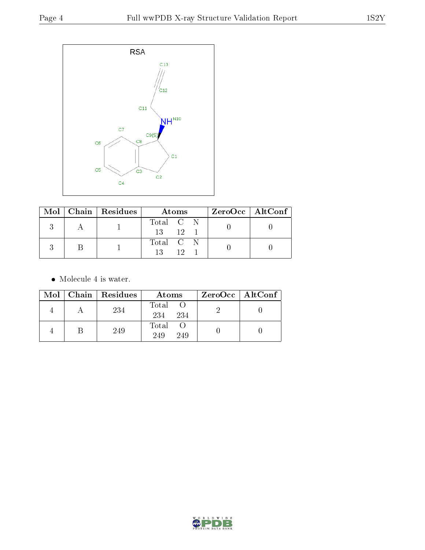

|  | $\text{Mol}$   Chain   Residues | Atoms                 | ZeroOcc   AltConf |
|--|---------------------------------|-----------------------|-------------------|
|  |                                 | Total C N<br>12<br>13 |                   |
|  |                                 | Total C N             |                   |

• Molecule 4 is water.

|  | Mol   Chain   Residues | Atoms               | $ZeroOcc \   \ AltConf \  $ |
|--|------------------------|---------------------|-----------------------------|
|  | 234                    | Total<br>234<br>234 |                             |
|  | 249                    | Total<br>249<br>249 |                             |

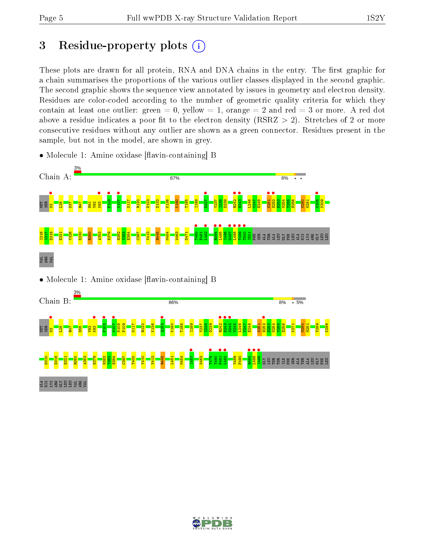# 3 Residue-property plots  $(i)$

These plots are drawn for all protein, RNA and DNA chains in the entry. The first graphic for a chain summarises the proportions of the various outlier classes displayed in the second graphic. The second graphic shows the sequence view annotated by issues in geometry and electron density. Residues are color-coded according to the number of geometric quality criteria for which they contain at least one outlier: green  $= 0$ , yellow  $= 1$ , orange  $= 2$  and red  $= 3$  or more. A red dot above a residue indicates a poor fit to the electron density (RSRZ  $> 2$ ). Stretches of 2 or more consecutive residues without any outlier are shown as a green connector. Residues present in the sample, but not in the model, are shown in grey.

• Molecule 1: Amine oxidase [flavin-containing] B



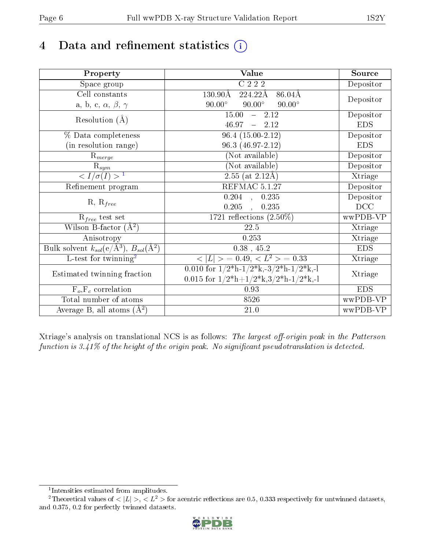# 4 Data and refinement statistics  $(i)$

| Property                                                             | Value                                                    | Source     |
|----------------------------------------------------------------------|----------------------------------------------------------|------------|
| Space group                                                          | $C$ 222                                                  | Depositor  |
| Cell constants                                                       | 224.22Å<br>$86.04\AA$<br>130.90Å                         | Depositor  |
| a, b, c, $\alpha$ , $\beta$ , $\gamma$                               | $90.00^\circ$<br>$90.00^\circ$<br>$90.00^\circ$          |            |
| Resolution $(A)$                                                     | 15.00<br>$-2.12$                                         | Depositor  |
|                                                                      | $-2.12$<br>46.97                                         | <b>EDS</b> |
| % Data completeness                                                  | $96.4(15.00-2.12)$                                       | Depositor  |
| (in resolution range)                                                | 96.3 (46.97-2.12)                                        | <b>EDS</b> |
| $R_{merge}$                                                          | (Not available)                                          | Depositor  |
| $\mathbf{R}_{sym}$                                                   | (Not available)                                          | Depositor  |
| $\sqrt{I/\sigma(I)} > 1$                                             | $2.55$ (at $2.12\text{\AA}$ )                            | Xtriage    |
| Refinement program                                                   | REFMAC 5.1.27                                            | Depositor  |
| $R, R_{free}$                                                        | $0.204$ , $0.235$                                        | Depositor  |
|                                                                      | 0.205<br>0.235<br>$\ddot{\phantom{a}}$                   | DCC        |
| $R_{free}$ test set                                                  | $1721$ reflections $(2.50\%)$                            | wwPDB-VP   |
| Wilson B-factor $(A^2)$                                              | 22.5                                                     | Xtriage    |
| Anisotropy                                                           | 0.253                                                    | Xtriage    |
| Bulk solvent $k_{sol}(e/\mathring{A}^3)$ , $B_{sol}(\mathring{A}^2)$ | $0.38$ , 45.2                                            | <b>EDS</b> |
| L-test for twinning <sup>2</sup>                                     | $\langle  L  \rangle = 0.49, \langle L^2 \rangle = 0.33$ | Xtriage    |
| Estimated twinning fraction                                          | 0.010 for $1/2^*h-1/2^*k,-3/2^*h-1/2^*k,-1$              | Xtriage    |
|                                                                      | 0.015 for $1/2^*h+1/2^*k$ , $3/2^*h-1/2^*k$ , -1         |            |
| $F_o, F_c$ correlation                                               | 0.93                                                     | <b>EDS</b> |
| Total number of atoms                                                | 8526                                                     | wwPDB-VP   |
| Average B, all atoms $(A^2)$                                         | 21.0                                                     | wwPDB-VP   |

Xtriage's analysis on translational NCS is as follows: The largest off-origin peak in the Patterson function is  $3.41\%$  of the height of the origin peak. No significant pseudotranslation is detected.

<sup>&</sup>lt;sup>2</sup>Theoretical values of  $\langle |L| \rangle$ ,  $\langle L^2 \rangle$  for acentric reflections are 0.5, 0.333 respectively for untwinned datasets, and 0.375, 0.2 for perfectly twinned datasets.



<span id="page-5-1"></span><span id="page-5-0"></span><sup>1</sup> Intensities estimated from amplitudes.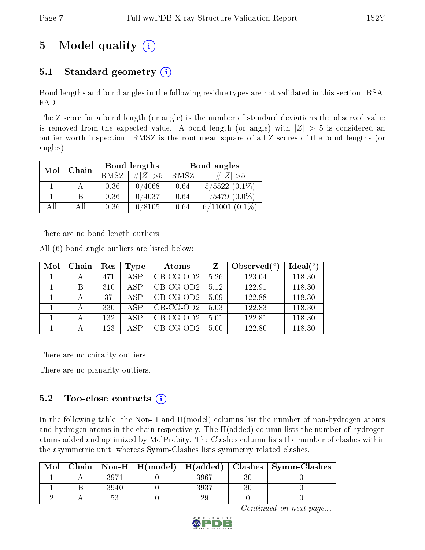# 5 Model quality  $(i)$

## 5.1 Standard geometry  $(i)$

Bond lengths and bond angles in the following residue types are not validated in this section: RSA, FAD

The Z score for a bond length (or angle) is the number of standard deviations the observed value is removed from the expected value. A bond length (or angle) with  $|Z| > 5$  is considered an outlier worth inspection. RMSZ is the root-mean-square of all Z scores of the bond lengths (or angles).

| Mol<br>Chain |     |      | Bond lengths | Bond angles |                     |  |
|--------------|-----|------|--------------|-------------|---------------------|--|
|              |     | RMSZ | $\# Z  > 5$  | RMSZ        | # $ Z  > 5$         |  |
|              |     | 0.36 | 0/4068       | 0.64        | $5/5522(0.1\%)$     |  |
|              | B   | 0.36 | 0/4037       | 0.64        | $1/5479$ $(0.0\%)$  |  |
| All          | All | 0.36 | 0/8105       | 0.64        | $6/11001$ $(0.1\%)$ |  |

There are no bond length outliers.

All (6) bond angle outliers are listed below:

| Mol | Chain | Res | Type | Atoms       | Z    | Observed $(°)$ | Ideal(°) |
|-----|-------|-----|------|-------------|------|----------------|----------|
|     |       | 471 | ASP  | $CB-CG-OD2$ | 5.26 | 123.04         | 118.30   |
|     |       | 310 | ASP  | $CB-CG-OD2$ | 5.12 | 122.91         | 118.30   |
|     |       | 37  | ASP  | $CB-CG-OD2$ | 5.09 | 122.88         | 118.30   |
|     |       | 330 | ASP  | $CB-CG-OD2$ | 5.03 | 122.83         | 118.30   |
|     |       | 132 | ASP  | $CB-CG-OD2$ | 5.01 | 122.81         | 118.30   |
|     |       | 123 | A SP | $CB-CG-OD2$ | 5.00 | 122.80         | 118.30   |

There are no chirality outliers.

There are no planarity outliers.

### 5.2 Too-close contacts (i)

In the following table, the Non-H and H(model) columns list the number of non-hydrogen atoms and hydrogen atoms in the chain respectively. The H(added) column lists the number of hydrogen atoms added and optimized by MolProbity. The Clashes column lists the number of clashes within the asymmetric unit, whereas Symm-Clashes lists symmetry related clashes.

| Mol |      |      | $\text{Chain}$   Non-H   H(model)   H(added)   Clashes   Symm-Clashes |
|-----|------|------|-----------------------------------------------------------------------|
|     | 3971 | 3967 |                                                                       |
|     | 3940 | 3937 |                                                                       |
|     |      |      |                                                                       |

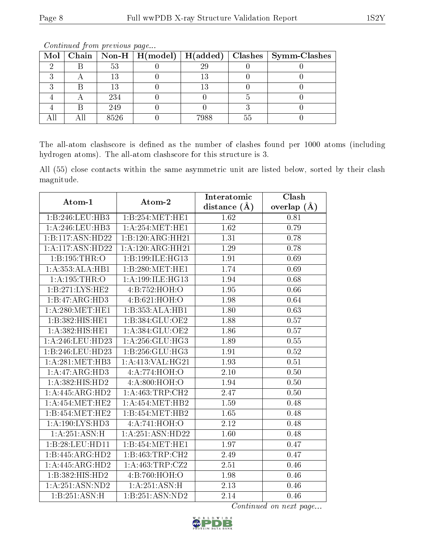| $Mol \vert$ |      |      |    | Chain   Non-H   H(model)   H(added)   Clashes   Symm-Clashes |
|-------------|------|------|----|--------------------------------------------------------------|
|             | 53   | 29   |    |                                                              |
|             |      | 13   |    |                                                              |
|             |      | 13   |    |                                                              |
|             | 234  |      |    |                                                              |
|             | 249  |      |    |                                                              |
|             | 8526 | 7988 | 55 |                                                              |

Continued from previous page...

The all-atom clashscore is defined as the number of clashes found per 1000 atoms (including hydrogen atoms). The all-atom clashscore for this structure is 3.

All (55) close contacts within the same asymmetric unit are listed below, sorted by their clash magnitude.

| Atom-1                       | Atom-2                               | Interatomic       | Clash             |
|------------------------------|--------------------------------------|-------------------|-------------------|
|                              |                                      | distance $(\AA)$  | overlap $(A)$     |
| 1:B:246:LEU:HB3              | 1:B:254:MET:HE1                      | 1.62              | 0.81              |
| 1: A:246:LEU:HB3             | 1: A:254:MET:HE1                     | 1.62              | 0.79              |
| 1:B:117:ASN:H <sub>D22</sub> | 1:B:120:ARG:HH21                     | 1.31              | 0.78              |
| 1:A:117:ASN:HD22             | 1:A:120:ARG:HH21                     | 1.29              | 0.78              |
| 1:B:195:THR:O                | 1:B:199:ILE:HG13                     | 1.91              | 0.69              |
| 1:A:353:ALA:HB1              | 1:B:280:MET:HE1                      | 1.74              | 0.69              |
| 1: A:195:THR:O               | 1: A: 199: ILE: HG13                 | 1.94              | 0.68              |
| 1:B:271:LYS:HE2              | 4:B:752:HOH:O                        | 1.95              | 0.66              |
| 1:B:47:ARG:HD3               | 4:B:621:HOH:O                        | 1.98              | 0.64              |
| 1: A:280:MET:HE1             | 1:B:353:ALA:HB1                      | 1.80              | 0.63              |
| 1:B:382:HIS:HE1              | 1:B:384:GLU:OE2                      | 1.88              | 0.57              |
| 1:A:382:HIS:HE1              | 1:A:384:GLU:OE2                      | 1.86              | 0.57              |
| 1:A:246:LEU:HD23             | 1: A:256: GLU:HG3                    | 1.89              | 0.55              |
| 1:B:246:LEU:HD23             | 1:B:256:GLU:HG3                      | 1.91              | 0.52              |
| $1:$ A:281:MET:HB3           | 1:A:413:VAL:HG21                     | 1.93              | 0.51              |
| 1:A:47:ARG:HD3               | 4: A:774:HOH:O                       | $\overline{2.10}$ | $\overline{0.50}$ |
| 1:A:382:HIS:HD2              | 4: A:800:HOH:O                       | 1.94              | 0.50              |
| 1:A:445:ARG:HD2              | 1:A:463:TRP:CH2                      | 2.47              | 0.50              |
| 1: A: 454: MET: HE2          | 1:A:454:MET:HB2                      | 1.59              | 0.48              |
| 1:B:454:MET:HE2              | 1:B:454:MET:HB2                      | 1.65              | 0.48              |
| 1:A:190:LYS:HD3              | 4:A:741:HOH:O                        | 2.12              | 0.48              |
| 1: A:251: ASN:H              | 1:A:251:ASN:HD22                     | 1.60              | 0.48              |
| 1:B:28:LEU:HD11              | 1:B:454:MET:HE1                      | 1.97              | 0.47              |
| 1:B:445:ARG:HD2              | 1:B:463:TRP:CH2                      | 2.49              | 0.47              |
| 1:A:445:ARG:HD2              | 1:A:463:TRP:CZ2                      | 2.51              | 0.46              |
| 1:B:382:HIS:HD2              | 4:B:760:HOH:O                        | 1.98              | 0.46              |
| 1:A:251:ASN:ND2              | 1:A:251:ASN:H                        | 2.13              | 0.46              |
| 1:B:251:ASN:H                | $1:B:251: \overline{\text{ASN:ND2}}$ | 2.14              | 0.46              |

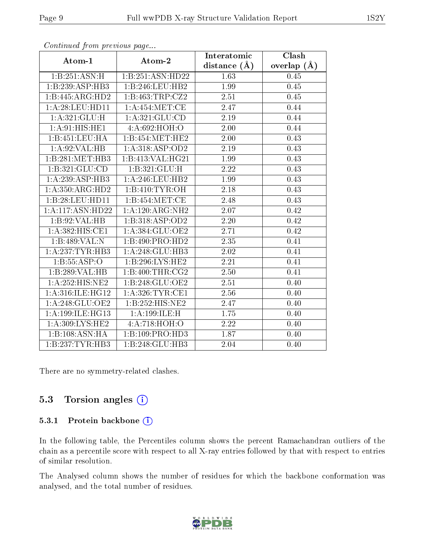|                     |                   | Interatomic    | Clash           |
|---------------------|-------------------|----------------|-----------------|
| Atom-1              | Atom-2            | distance $(A)$ | overlap $(\AA)$ |
| 1:B:251:ASN:H       | 1:B:251:ASN:HD22  | 1.63           | 0.45            |
| 1:B:239:ASP:HB3     | 1:B:246:LEU:HB2   | 1.99           | 0.45            |
| 1:B:445:ARG:HD2     | 1:B:463:TRP:CZ2   | 2.51           | 0.45            |
| 1:A:28:LEU:HDI1     | 1: A:454:MET:CE   | 2.47           | 0.44            |
| 1:A:321:GLU:H       | 1: A:321: GLU:CD  | 2.19           | 0.44            |
| 1:A:91:HIS:HE1      | 4:A:692:HOH:O     | 2.00           | 0.44            |
| 1:B:451:LEU:HA      | 1:B:454:MET:HE2   | 2.00           | 0.43            |
| 1:A:92:VAL:HB       | 1:A:318:ASP:OD2   | 2.19           | 0.43            |
| 1:B:281:MET:HB3     | 1:B:413:VAL:HG21  | 1.99           | 0.43            |
| 1:B:321:GLU:CD      | 1:B:321:GLU:H     | 2.22           | 0.43            |
| 1:A:239:ASP:HB3     | 1: A:246:LEU:HB2  | 1.99           | 0.43            |
| 1:A:350:ARG:HD2     | 1:B:410:TYR:OH    | 2.18           | 0.43            |
| 1:B:28:LEU:HDI1     | 1:B:454:MET:CE    | 2.48           | 0.43            |
| 1:A:117:ASN:HD22    | 1:A:120:ARG:NH2   | 2.07           | 0.42            |
| 1:B:92:VAL:HB       | 1:B:318:ASP:OD2   | 2.20           | 0.42            |
| 1:A:382:HIS:CE1     | 1: A:384: GLU:OE2 | 2.71           | 0.42            |
| 1:B:489:VAL:N       | 1:B:490:PRO:HD2   | 2.35           | 0.41            |
| 1:A:237:TYR:HB3     | 1:A:248:GLU:HB3   | 2.02           | 0.41            |
| 1: B: 55: ASP:O     | 1:B:296:LYS:HE2   | 2.21           | 0.41            |
| 1:B:289:VAL:HB      | 1: B:400: THR:CG2 | 2.50           | 0.41            |
| 1:A:252:HIS:NE2     | 1:B:248:GLU:OE2   | 2.51           | 0.40            |
| 1:A:316:ILE:HG12    | 1: A:326:TYR:CE1  | 2.56           | 0.40            |
| 1:A:248:GLU:OE2     | 1:B:252:HIS:NE2   | 2.47           | 0.40            |
| 1: A:199: ILE: HG13 | 1:A:199:ILE:H     | 1.75           | 0.40            |
| 1: A:309: LYS: HE2  | 4:A:718:HOH:O     | 2.22           | 0.40            |
| 1:B:108:ASN:HA      | 1:B:109:PRO:HD3   | 1.87           | 0.40            |
| 1:B:237:TYR:HB3     | 1:B:248:GLU:HB3   | 2.04           | 0.40            |

Continued from previous page...

There are no symmetry-related clashes.

#### 5.3 Torsion angles (i)

#### 5.3.1 Protein backbone (i)

In the following table, the Percentiles column shows the percent Ramachandran outliers of the chain as a percentile score with respect to all X-ray entries followed by that with respect to entries of similar resolution.

The Analysed column shows the number of residues for which the backbone conformation was analysed, and the total number of residues.

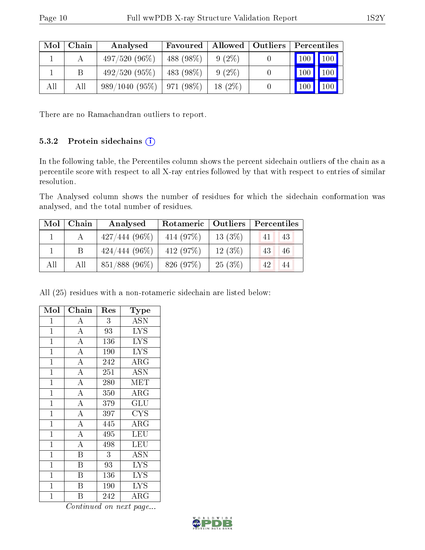| Mol | Chain | Analysed         | Favoured    | Allowed   Outliers | Percentiles           |  |
|-----|-------|------------------|-------------|--------------------|-----------------------|--|
|     |       | $497/520(96\%)$  | 488 (98%)   | $9(2\%)$           | 100 100               |  |
|     | B     | 492/520(95%)     | 483 (98%)   | $9(2\%)$           | $\mid$ 100 $\mid$ 100 |  |
| All | All   | $989/1040(95\%)$ | $971(98\%)$ | $18(2\%)$          | $100$   $100$         |  |

There are no Ramachandran outliers to report.

#### 5.3.2 Protein sidechains (i)

In the following table, the Percentiles column shows the percent sidechain outliers of the chain as a percentile score with respect to all X-ray entries followed by that with respect to entries of similar resolution.

The Analysed column shows the number of residues for which the sidechain conformation was analysed, and the total number of residues.

| $\text{Mol}$ | Chain | Analysed                      | Rotameric   Outliers |           | $\mid$ Percentiles |
|--------------|-------|-------------------------------|----------------------|-----------|--------------------|
|              |       | $427/444(96\%)$               | 414 (97%)            | 13(3%)    | 43<br>41           |
|              |       | $424/444(96\%)$               | 412 $(97%)$          | $12(3\%)$ | 43<br>46           |
| All          | All   | $851/888$ (96\%)   826 (97\%) |                      | 25(3%)    | 42<br>44           |

All (25) residues with a non-rotameric sidechain are listed below:

| Mol            | Chain                   | Res         | Type       |
|----------------|-------------------------|-------------|------------|
| $\overline{1}$ | А                       | 3           | ASN        |
| $\mathbf{1}$   | $\overline{A}$          | 93          | <b>LYS</b> |
| $\overline{1}$ | $\overline{A}$          | $\bar{1}36$ | <b>LYS</b> |
| $\mathbf{1}$   | $\overline{\rm A}$      | 190         | <b>LYS</b> |
| $\mathbf 1$    | $\overline{\rm A}$      | 242         | ARG        |
| $\mathbf 1$    | $\overline{A}$          | 251         | <b>ASN</b> |
| $\mathbf 1$    | $\overline{A}$          | 280         | <b>MET</b> |
| $\overline{1}$ | $\overline{A}$          | 350         | $\rm{ARG}$ |
| $\mathbf 1$    | $\overline{A}$          | 379         | GLU        |
| $\overline{1}$ | $\overline{A}$          | 397         | <b>CYS</b> |
| $\mathbf{1}$   | $\overline{A}$          | 445         | $\rm{ARG}$ |
| $\mathbf{1}$   | $\overline{\rm A}$      | 495         | LEU        |
| $\mathbf 1$    | $\overline{\rm A}$      | 498         | LEU        |
| $\mathbf{1}$   | $\overline{B}$          | 3           | ASN        |
| $\mathbf 1$    | B                       | 93          | <b>LYS</b> |
| $\mathbf{1}$   | B                       | 136         | <b>LYS</b> |
| $\mathbf{1}$   | B                       | 190         | <b>LYS</b> |
| $\mathbf 1$    | $\overline{\mathrm{B}}$ | 242         | $\rm{ARG}$ |

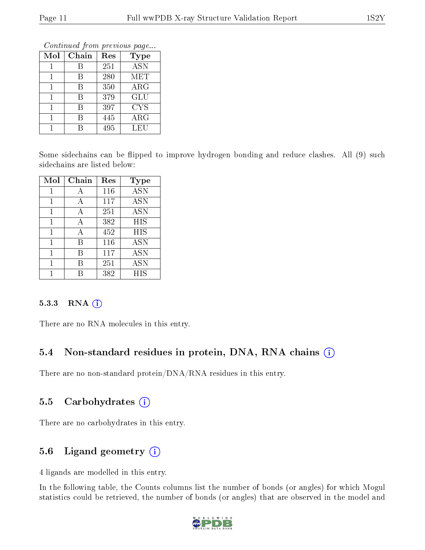Continued from previous page...

| Mol | Chain | Res | Type        |
|-----|-------|-----|-------------|
|     | В     | 251 | <b>ASN</b>  |
|     | R     | 280 | MET         |
|     | R     | 350 | ${\rm ARG}$ |
|     | R     | 379 | <b>GLU</b>  |
|     | R     | 397 | <b>CYS</b>  |
|     | R     | 445 | $\rm{ARG}$  |
|     |       | 495 | LEU         |

Some sidechains can be flipped to improve hydrogen bonding and reduce clashes. All (9) such sidechains are listed below:

| Mol | Chain | Res | <b>Type</b> |
|-----|-------|-----|-------------|
| 1   | А     | 116 | <b>ASN</b>  |
|     | А     | 117 | <b>ASN</b>  |
| 1   | А     | 251 | <b>ASN</b>  |
| 1   | А     | 382 | <b>HIS</b>  |
| 1   | А     | 452 | <b>HIS</b>  |
| 1   | В     | 116 | <b>ASN</b>  |
|     | R     | 117 | ĀSN         |
| 1   | R     | 251 | ASN         |
|     |       | 382 | НIS         |

#### 5.3.3 RNA (i)

There are no RNA molecules in this entry.

## 5.4 Non-standard residues in protein, DNA, RNA chains  $(i)$

There are no non-standard protein/DNA/RNA residues in this entry.

## 5.5 Carbohydrates  $(i)$

There are no carbohydrates in this entry.

## 5.6 Ligand geometry  $(i)$

4 ligands are modelled in this entry.

In the following table, the Counts columns list the number of bonds (or angles) for which Mogul statistics could be retrieved, the number of bonds (or angles) that are observed in the model and

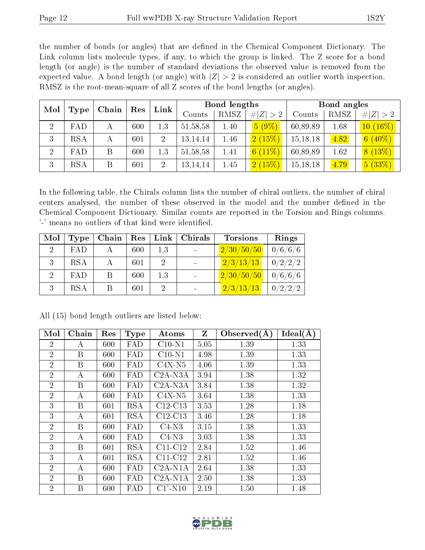the number of bonds (or angles) that are defined in the Chemical Component Dictionary. The Link column lists molecule types, if any, to which the group is linked. The Z score for a bond length (or angle) is the number of standard deviations the observed value is removed from the expected value. A bond length (or angle) with  $|Z| > 2$  is considered an outlier worth inspection. RMSZ is the root-mean-square of all Z scores of the bond lengths (or angles).

| Mol<br>Type    |            |   | Chain | Res            | Bond lengths<br>Link |      |                         |          |      | Bond angles |  |  |
|----------------|------------|---|-------|----------------|----------------------|------|-------------------------|----------|------|-------------|--|--|
|                |            |   |       |                | Counts               | RMSZ | # $ Z  > 2$             | Counts   | RMSZ | # $ Z  > 2$ |  |  |
| $\overline{2}$ | FAD        | А | 600   | $1.3\,$        | 51, 58, 58           | 1.40 | $5(9\%)$                | 60,89,89 | 1.68 | $10(16\%)$  |  |  |
| 3              | <b>RSA</b> | А | 601   | $\overline{2}$ | 13, 14, 14           | 1.46 | 2(15%)                  | 15,18,18 | 4.82 | $6(40\%)$   |  |  |
| $\overline{2}$ | FAD        | B | 600   | 1.3            | 51, 58, 58           | 1.41 | (11%)<br>6 <sup>1</sup> | 60,89,89 | 1.62 | 8(13%)      |  |  |
| 3              | <b>RSA</b> | B | 601   | $\overline{2}$ | 13, 14, 14           | 1.45 | 2(15%)                  | 15,18,18 | 4.79 | 5(33%)      |  |  |

In the following table, the Chirals column lists the number of chiral outliers, the number of chiral centers analysed, the number of these observed in the model and the number defined in the Chemical Component Dictionary. Similar counts are reported in the Torsion and Rings columns. '-' means no outliers of that kind were identified.

| Mol         | Type       | Chain | Res | Link | Chirals | <b>Torsions</b> | Rings   |
|-------------|------------|-------|-----|------|---------|-----------------|---------|
| $2^{\circ}$ | FAD        |       | 600 | 1,3  |         | 2/30/50/50      | 0/6/6/6 |
| 3           | <b>RSA</b> |       | 601 | 2    |         | 2/3/13/13       | 0/2/2/2 |
| $2^{\circ}$ | FAD        |       | 600 | 1,3  |         | 2/30/50/50      | 0/6/6/6 |
| 3           | <b>RSA</b> |       | 601 |      |         | 2/3/13/13       | 0/2/2/2 |

| Mol            | Chain | Res | <b>Type</b> | $\rm{Atoms}$ | Z    | Observed $(A)$ | Ideal(A) |
|----------------|-------|-----|-------------|--------------|------|----------------|----------|
| $\overline{2}$ | A     | 600 | FAD         | $C10-N1$     | 5.05 | 1.39           | 1.33     |
| $\overline{2}$ | B     | 600 | FAD         | $C10-N1$     | 4.98 | 1.39           | 1.33     |
| $\overline{2}$ | B     | 600 | FAD         | $C4X-N5$     | 4.06 | 1.39           | 1.33     |
| $\overline{2}$ | A     | 600 | FAD         | $C2A-N3A$    | 3.94 | 1.38           | 1.32     |
| $\overline{2}$ | B     | 600 | FAD         | $C2A- N3A$   | 3.84 | 1.38           | 1.32     |
| $\overline{2}$ | A     | 600 | FAD         | $C4X-N5$     | 3.64 | 1.38           | 1.33     |
| 3              | B     | 601 | <b>RSA</b>  | $C12-C13$    | 3.53 | 1.28           | 1.18     |
| 3              | A     | 601 | <b>RSA</b>  | $C12-C13$    | 3.46 | 1.28           | 1.18     |
| $\overline{2}$ | B     | 600 | FAD         | $C4-N3$      | 3.15 | 1.38           | 1.33     |
| $\overline{2}$ | А     | 600 | FAD         | $C4-N3$      | 3.03 | 1.38           | 1.33     |
| 3              | B     | 601 | <b>RSA</b>  | $C11-C12$    | 2.84 | 1.52           | 1.46     |
| 3              | A     | 601 | <b>RSA</b>  | $C11-C12$    | 2.81 | 1.52           | 1.46     |
| $\overline{2}$ | А     | 600 | FAD         | $C2A-N1A$    | 2.64 | 1.38           | 1.33     |
| $\overline{2}$ | B     | 600 | FAD         | $C2A-N1A$    | 2.50 | 1.38           | 1.33     |
| $\overline{2}$ | Β     | 600 | FAD         | $C1'$ -N10   | 2.19 | 1.50           | 1.48     |

All (15) bond length outliers are listed below:

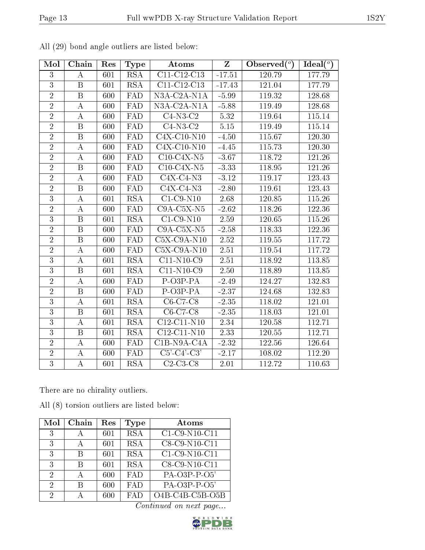| Mol            | Chain            | Res | <b>Type</b>             | Atoms                            | $\mathbf{Z}$      | Observed $(\overline{\overline{\circ}})$ | Ideal $(°)$ |
|----------------|------------------|-----|-------------------------|----------------------------------|-------------------|------------------------------------------|-------------|
| 3              | А                | 601 | <b>RSA</b>              | C11-C12-C13                      | $-17.51$          | 120.79                                   | 177.79      |
| $\overline{3}$ | $\mathbf B$      | 601 | <b>RSA</b>              | C11-C12-C13                      | $-17.43$          | 121.04                                   | 177.79      |
| $\overline{2}$ | $\boldsymbol{B}$ | 600 | FAD                     | N3A-C2A-N1A                      | $-5.99$           | 119.32                                   | 128.68      |
| $\overline{2}$ | A                | 600 | FAD                     | $N3A-C2A-N1A$                    | $-5.88$           | 119.49                                   | 128.68      |
| $\overline{2}$ | A                | 600 | FAD                     | $C4-N3-C2$                       | 5.32              | 119.64                                   | 115.14      |
| $\overline{2}$ | $\overline{B}$   | 600 | <b>FAD</b>              | $C4-N3-C2$                       | 5.15              | 119.49                                   | 115.14      |
| $\overline{2}$ | $\, {\bf B}$     | 600 | FAD                     | $C4X-C10-N10$                    | $-4.50$           | 115.67                                   | 120.30      |
| $\overline{2}$ | А                | 600 | FAD                     | $\overline{\text{C4X-C}}$ 10-N10 | $-4.45$           | 115.73                                   | 120.30      |
| $\overline{2}$ | $\boldsymbol{A}$ | 600 | FAD                     | $\overline{\text{C10-C4X-N5}}$   | $-3.67$           | 118.72                                   | 121.26      |
| $\overline{2}$ | $\boldsymbol{B}$ | 600 | FAD                     | $C10-C4X-N5$                     | $-3.33$           | 118.95                                   | 121.26      |
| $\overline{2}$ | $\boldsymbol{A}$ | 600 | FAD                     | $C4X-C4-N3$                      | $-3.12$           | 119.17                                   | 123.43      |
| $\overline{2}$ | $\boldsymbol{B}$ | 600 | FAD                     | $C4X-C4-N3$                      | $-2.80$           | 119.61                                   | 123.43      |
| $\overline{3}$ | A                | 601 | $\overline{\text{RSA}}$ | $C1-C9-N10$                      | 2.68              | 120.85                                   | 115.26      |
| $\overline{2}$ | A                | 600 | FAD                     | $C9A-C5X-N5$                     | $-2.62$           | 118.26                                   | 122.36      |
| $\overline{3}$ | $\boldsymbol{B}$ | 601 | <b>RSA</b>              | $C1-C9-N10$                      | 2.59              | 120.65                                   | 115.26      |
| $\overline{2}$ | $\boldsymbol{B}$ | 600 | FAD                     | $C9A-C5X-N5$                     | $-2.58$           | 118.33                                   | 122.36      |
| $\overline{2}$ | $\boldsymbol{B}$ | 600 | <b>FAD</b>              | $C5X-C9A-N10$                    | 2.52              | 119.55                                   | 117.72      |
| $\overline{2}$ | А                | 600 | FAD                     | $C5X-C9A-N10$                    | 2.51              | 119.54                                   | 117.72      |
| $\overline{3}$ | А                | 601 | <b>RSA</b>              | $C11-N10-C9$                     | 2.51              | 118.92                                   | 113.85      |
| $\overline{3}$ | B                | 601 | $\overline{\text{RSA}}$ | $C11-N10-C9$                     | $\overline{2.50}$ | 118.89                                   | 113.85      |
| $\overline{2}$ | А                | 600 | FAD                     | $P-O3P-PA$                       | $-2.49$           | 124.27                                   | 132.83      |
| $\overline{2}$ | $\, {\bf B}$     | 600 | FAD                     | P-O3P-PA                         | $-2.37$           | 124.68                                   | 132.83      |
| $\overline{3}$ | А                | 601 | <b>RSA</b>              | $C6-C7-C8$                       | $-2.35$           | 118.02                                   | 121.01      |
| $\overline{3}$ | $\mathbf B$      | 601 | RSA                     | C6-C7-C8                         | $-2.35$           | 118.03                                   | 121.01      |
| $\overline{3}$ | А                | 601 | <b>RSA</b>              | C12-C11-N10                      | 2.34              | 120.58                                   | 112.71      |
| $\overline{3}$ | $\mathbf B$      | 601 | <b>RSA</b>              | C12-C11-N10                      | 2.33              | 120.55                                   | 112.71      |
| $\overline{2}$ | $\bf{A}$         | 600 | FAD                     | $C1B-N9A-CAA$                    | $-2.32$           | 122.56                                   | 126.64      |
| $\overline{2}$ | $\boldsymbol{A}$ | 600 | $\overline{\text{FAD}}$ | $\overline{\text{C5'-C4'-C3'}}$  | $-2.17$           | 108.02                                   | 112.20      |
| $\overline{3}$ | $\boldsymbol{A}$ | 601 | <b>RSA</b>              | $C2-C3-C8$                       | 2.01              | 112.72                                   | 110.63      |

All (29) bond angle outliers are listed below:

There are no chirality outliers.

All (8) torsion outliers are listed below:

| Mol | Chain | $\operatorname{Res}% \left( \mathcal{N}\right) \equiv\operatorname{Res}(\mathcal{N}_{0})\cap\mathcal{N}_{1}$ | Type       | Atoms             |
|-----|-------|--------------------------------------------------------------------------------------------------------------|------------|-------------------|
| 3   |       | 601                                                                                                          | <b>RSA</b> | $C1-C9-N10-C11$   |
| 3   | А     | 601                                                                                                          | <b>RSA</b> | C8-C9-N10-C11     |
| 3   | В     | 601                                                                                                          | <b>RSA</b> | $C1-C9-N10-C11$   |
| 3   | В     | 601                                                                                                          | <b>RSA</b> | C8-C9-N10-C11     |
| 2   | А     | 600                                                                                                          | <b>FAD</b> | PA-O3P-P-O5'      |
| 2   | B     | 600                                                                                                          | <b>FAD</b> | PA-O3P-P-O5'      |
| 2   |       | 600                                                                                                          | FA D       | $O4B-C4B-C5B-O5B$ |

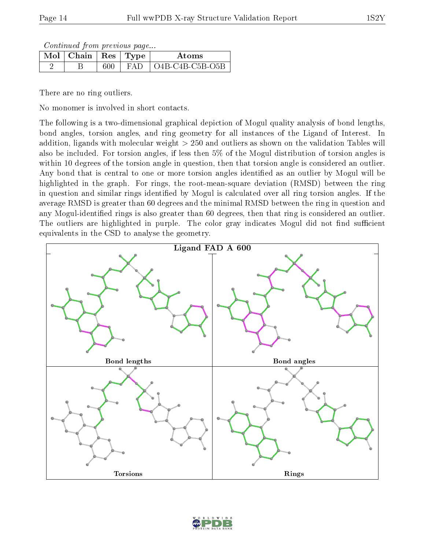Continued from previous page...

| $\blacksquare$ Mol $\vert$ Chain $\vert$ Res $\vert$ Type |         |      | Atoms             |
|-----------------------------------------------------------|---------|------|-------------------|
|                                                           | $600\,$ | EA D | $O4B-C4B-C5B-O5B$ |

There are no ring outliers.

No monomer is involved in short contacts.

The following is a two-dimensional graphical depiction of Mogul quality analysis of bond lengths, bond angles, torsion angles, and ring geometry for all instances of the Ligand of Interest. In addition, ligands with molecular weight > 250 and outliers as shown on the validation Tables will also be included. For torsion angles, if less then 5% of the Mogul distribution of torsion angles is within 10 degrees of the torsion angle in question, then that torsion angle is considered an outlier. Any bond that is central to one or more torsion angles identified as an outlier by Mogul will be highlighted in the graph. For rings, the root-mean-square deviation (RMSD) between the ring in question and similar rings identified by Mogul is calculated over all ring torsion angles. If the average RMSD is greater than 60 degrees and the minimal RMSD between the ring in question and any Mogul-identified rings is also greater than 60 degrees, then that ring is considered an outlier. The outliers are highlighted in purple. The color gray indicates Mogul did not find sufficient equivalents in the CSD to analyse the geometry.



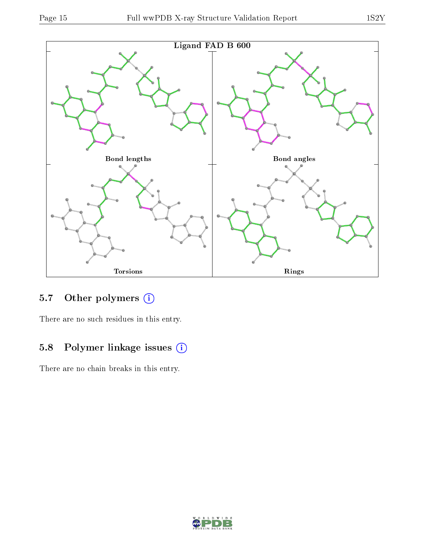

## 5.7 [O](https://www.wwpdb.org/validation/2017/XrayValidationReportHelp#nonstandard_residues_and_ligands)ther polymers (i)

There are no such residues in this entry.

## 5.8 Polymer linkage issues (i)

There are no chain breaks in this entry.

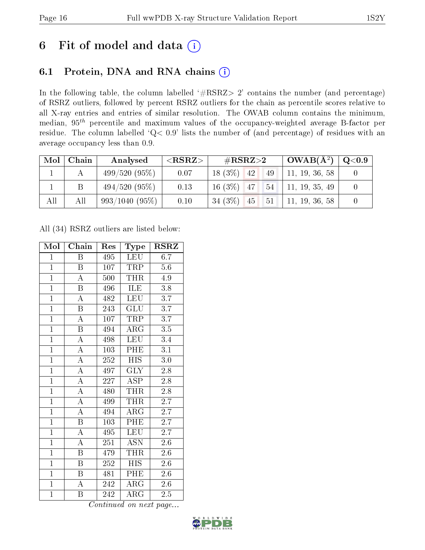# 6 Fit of model and data  $(i)$

## 6.1 Protein, DNA and RNA chains  $(i)$

In the following table, the column labelled  $#RSRZ> 2'$  contains the number (and percentage) of RSRZ outliers, followed by percent RSRZ outliers for the chain as percentile scores relative to all X-ray entries and entries of similar resolution. The OWAB column contains the minimum, median,  $95<sup>th</sup>$  percentile and maximum values of the occupancy-weighted average B-factor per residue. The column labelled ' $Q< 0.9$ ' lists the number of (and percentage) of residues with an average occupancy less than 0.9.

| Mol | Chain | Analysed      | ${ <\hspace{-1.5pt}{\mathrm{RSRZ}} \hspace{-1.5pt}>}$ | $\#\text{RSRZ}{>}2$    | $\perp \textbf{OWAB}(\text{A}{}^2)$ , | $\rm Q\textcolor{black}{<}0.9$ |
|-----|-------|---------------|-------------------------------------------------------|------------------------|---------------------------------------|--------------------------------|
|     |       | 499/520(95%)  | 0.07                                                  | $18(3\%)$<br>42<br>49  | 11, 19, 36, 58                        |                                |
|     |       | 494/520(95%)  | 0.13                                                  | $16(3\%)$ 47<br>54     | 11, 19, 35, 49                        |                                |
| All | All   | 993/1040(95%) | 0.10                                                  | 34 $(3\%)$<br>51<br>45 | 11, 19, 36, 58                        |                                |

All (34) RSRZ outliers are listed below:

| Mol            | Chain                     | Res | Type                    | $\rm RSRZ$       |
|----------------|---------------------------|-----|-------------------------|------------------|
| $\mathbf{1}$   | Β                         | 495 | LEU                     | 6.7              |
| $\overline{1}$ | B                         | 107 | TRP                     | $5.6\,$          |
| $\overline{1}$ | $\overline{\rm A}$        | 500 | THR                     | 4.9              |
| $\overline{1}$ | $\boldsymbol{B}$          | 496 | ILE                     | 3.8              |
| $\overline{1}$ | $\overline{\rm A}$        | 482 | LEU                     | $\overline{3.7}$ |
| $\overline{1}$ | $\boldsymbol{\mathrm{B}}$ | 243 | <b>GLU</b>              | $\overline{3.7}$ |
| $\overline{1}$ | $\overline{\rm A}$        | 107 | TRP                     | $\overline{3.7}$ |
| $\overline{1}$ | $\overline{\mathbf{B}}$   | 494 | $\rm{ARG}$              | 3.5              |
| $\overline{1}$ | $\overline{\rm A}$        | 498 | <b>LEU</b>              | 3.4              |
| $\overline{1}$ | $\overline{\rm A}$        | 103 | PHE                     | $\overline{3.1}$ |
| $\overline{1}$ | $\overline{\rm A}$        | 252 | <b>HIS</b>              | $3.0\,$          |
| $\overline{1}$ | $\overline{A}$            | 497 | $\overline{\text{GLY}}$ | $2.8\,$          |
| $\overline{1}$ | $\overline{\rm A}$        | 227 | <b>ASP</b>              | 2.8              |
| $\overline{1}$ | $\overline{\rm A}$        | 480 | <b>THR</b>              | 2.8              |
| $\overline{1}$ | $\overline{\rm A}$        | 499 | <b>THR</b>              | $\overline{2.7}$ |
| $\mathbf{1}$   | $\overline{\rm A}$        | 494 | $\rm{ARG}$              | 2.7              |
| $\overline{1}$ | $\overline{\mathrm{B}}$   | 103 | <b>PHE</b>              | $\overline{2.7}$ |
| $\overline{1}$ | $\boldsymbol{A}$          | 495 | <b>LEU</b>              | $\overline{2.7}$ |
| $\overline{1}$ | $\overline{\rm A}$        | 251 | $\overline{\text{ASN}}$ | 2.6              |
| $\overline{1}$ | $\overline{\mathrm{B}}$   | 479 | THR                     | $2.6\,$          |
| $\overline{1}$ | $\boldsymbol{B}$          | 252 | <b>HIS</b>              | 2.6              |
| $\overline{1}$ | Β                         | 481 | PHE                     | 2.6              |
| $\mathbf{1}$   | A                         | 242 | ARG                     | $2.6\,$          |
| $\mathbf{1}$   | B                         | 242 | $\rm{ARG}$              | 2.5              |

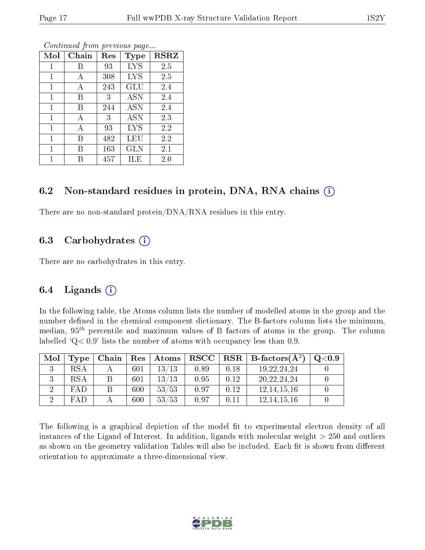| Mol | Chain | Res | <b>Type</b> | <b>RSRZ</b> |
|-----|-------|-----|-------------|-------------|
| 1   | В     | 93  | <b>LYS</b>  | 2.5         |
| 1   | A     | 308 | <b>LYS</b>  | 2.5         |
| 1   | А     | 243 | GLU         | 2.4         |
| 1   | В     | 3   | <b>ASN</b>  | 2.4         |
| 1   | В     | 244 | <b>ASN</b>  | 2.4         |
| 1   | A     | 3   | <b>ASN</b>  | 2.3         |
| 1   | A     | 93  | LYS         | 2.2         |
| 1   | В     | 482 | LEU         | 2.2         |
| 1   | В     | 163 | <b>GLN</b>  | 2.1         |
|     |       | 457 | ILE         | 2.0         |

Continued from previous page...

#### 6.2 Non-standard residues in protein, DNA, RNA chains  $(i)$

There are no non-standard protein/DNA/RNA residues in this entry.

#### 6.3 Carbohydrates (i)

There are no carbohydrates in this entry.

#### 6.4 Ligands  $(i)$

In the following table, the Atoms column lists the number of modelled atoms in the group and the number defined in the chemical component dictionary. The B-factors column lists the minimum, median,  $95<sup>th</sup>$  percentile and maximum values of B factors of atoms in the group. The column labelled  $Q< 0.9$ ' lists the number of atoms with occupancy less than 0.9.

| Mol | Type       | Chain | $\operatorname{Res}$ | Atoms       | $_{\rm RSCC}$ |      | $\vert$ RSR $\vert$ B-factors( $\rm \AA^2)$ | Q <sub>0.9</sub> |
|-----|------------|-------|----------------------|-------------|---------------|------|---------------------------------------------|------------------|
|     | RSA        |       | 601                  | 13/13       | 0.89          | 0.18 | 19, 22, 24, 24                              |                  |
|     | RSA        |       | 601                  | $13\, / 13$ | 0.95          | 0.12 | 20, 22, 24, 24                              |                  |
|     | <b>FAD</b> |       | 600                  | 53/53       | 0.97          | 0.12 | 12, 14, 15, 16                              |                  |
|     | <b>FAD</b> |       | 600                  | 53/53       | 0.97          | 0.11 | 12, 14, 15, 16                              |                  |

The following is a graphical depiction of the model fit to experimental electron density of all instances of the Ligand of Interest. In addition, ligands with molecular weight  $> 250$  and outliers as shown on the geometry validation Tables will also be included. Each fit is shown from different orientation to approximate a three-dimensional view.

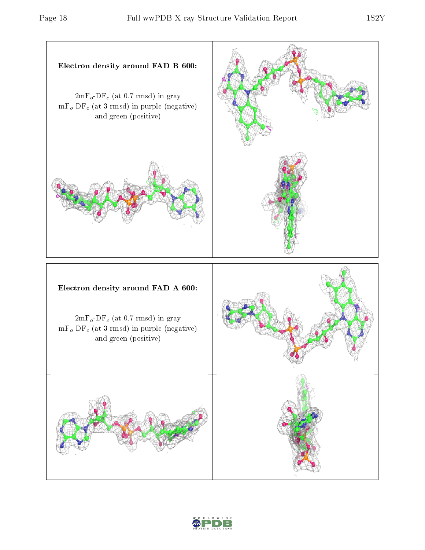